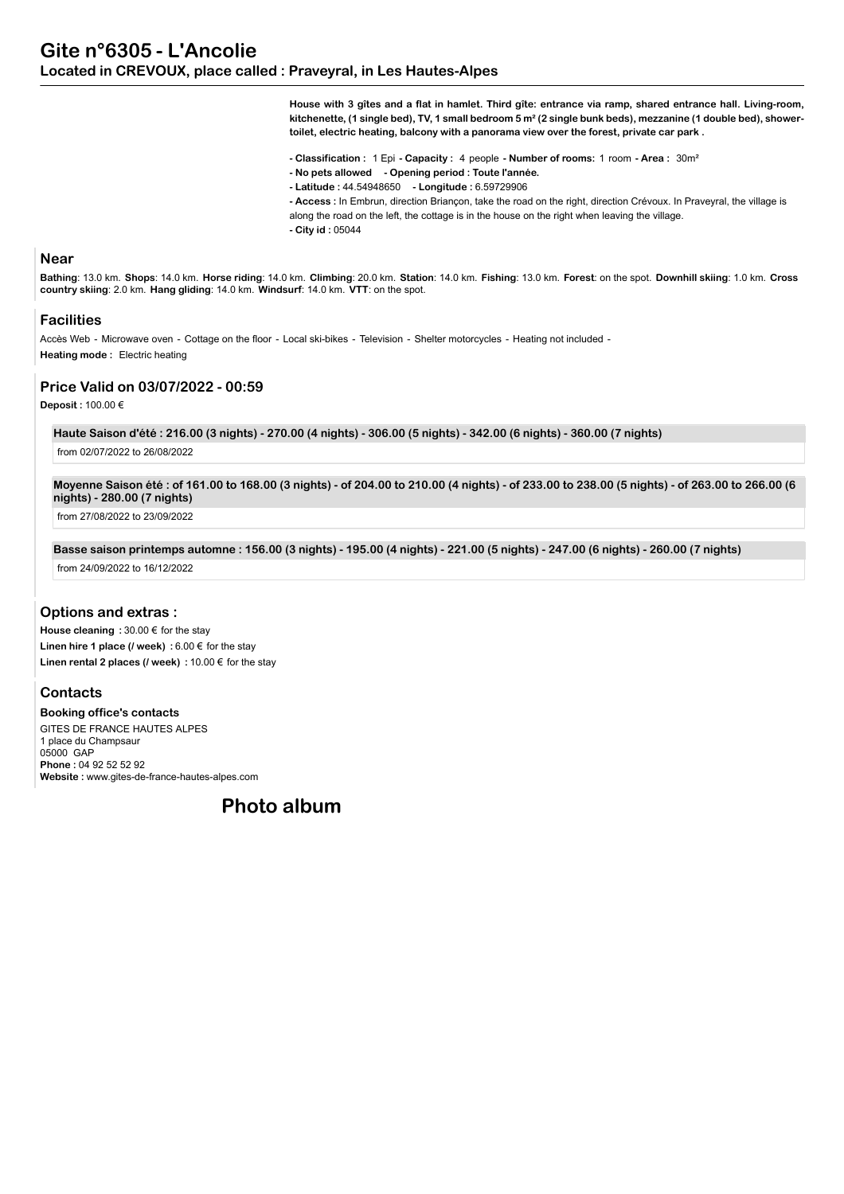**House with 3 gîtes and a flat in hamlet. Third gîte: entrance via ramp, shared entrance hall. Living-room, kitchenette, (1 single bed), TV, 1 small bedroom 5 m² (2 single bunk beds), mezzanine (1 double bed), showertoilet, electric heating, balcony with a panorama view over the forest, private car park .**

**- Classification :** 1 Epi **- Capacity :** 4 people **- Number of rooms:** 1 room **- Area :** 30m²

- **No pets allowed Opening period : Toute l'année.**
- **Latitude :** 44.54948650  **Longitude :** 6.59729906
- **Access :** In Embrun, direction Briançon, take the road on the right, direction Crévoux. In Praveyral, the village is
- along the road on the left, the cottage is in the house on the right when leaving the village.
- **City id :** 05044

#### **Near**

Bathing: 13.0 km. Shops: 14.0 km. Horse riding: 14.0 km. Climbing: 20.0 km. Station: 14.0 km. Fishing: 13.0 km. Forest: on the spot. Downhill skiing: 1.0 km. Cross **country skiing**: 2.0 km. **Hang gliding**: 14.0 km. **Windsurf**: 14.0 km. **VTT**: on the spot.

#### **Facilities**

Accès Web - Microwave oven - Cottage on the floor - Local ski-bikes - Television - Shelter motorcycles - Heating not included - **Heating mode :** Electric heating

#### **Price Valid on 03/07/2022 - 00:59**

**Deposit :** 100.00 €

**Haute Saison d'été : 216.00 (3 nights) - 270.00 (4 nights) - 306.00 (5 nights) - 342.00 (6 nights) - 360.00 (7 nights)**

from 02/07/2022 to 26/08/2022

**Moyenne Saison été : of 161.00 to 168.00 (3 nights) - of 204.00 to 210.00 (4 nights) - of 233.00 to 238.00 (5 nights) - of 263.00 to 266.00 (6 nights) - 280.00 (7 nights)**

from 27/08/2022 to 23/09/2022

**Basse saison printemps automne : 156.00 (3 nights) - 195.00 (4 nights) - 221.00 (5 nights) - 247.00 (6 nights) - 260.00 (7 nights)** from 24/09/2022 to 16/12/2022

## **Options and extras :**

**House cleaning :** 30.00 € for the stay **Linen hire 1 place (/ week) :** 6.00 € for the stay **Linen rental 2 places (/ week) :** 10.00 € for the stay

# **Contacts**

**Booking office's contacts** GITES DE FRANCE HAUTES ALPES 1 place du Champsaur 05000 GAP **Phone :** 04 92 52 52 92 **Website :** www.gites-de-france-hautes-alpes.com

**Photo album**